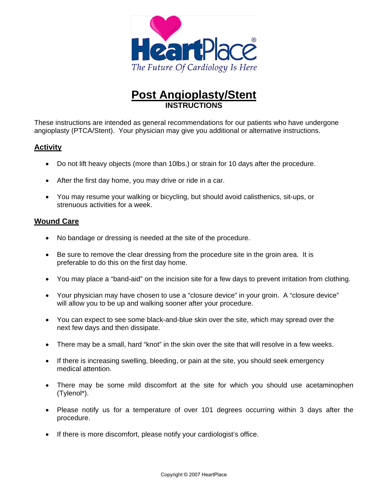

# **Post Angioplasty/Stent INSTRUCTIONS**

These instructions are intended as general recommendations for our patients who have undergone angioplasty (PTCA/Stent). Your physician may give you additional or alternative instructions.

## **Activity**

- Do not lift heavy objects (more than 10lbs.) or strain for 10 days after the procedure.
- After the first day home, you may drive or ride in a car.
- You may resume your walking or bicycling, but should avoid calisthenics, sit-ups, or strenuous activities for a week.

## **Wound Care**

- No bandage or dressing is needed at the site of the procedure.
- Be sure to remove the clear dressing from the procedure site in the groin area. It is preferable to do this on the first day home.
- You may place a "band-aid" on the incision site for a few days to prevent irritation from clothing.
- Your physician may have chosen to use a "closure device" in your groin. A "closure device" will allow you to be up and walking sooner after your procedure.
- You can expect to see some black-and-blue skin over the site, which may spread over the next few days and then dissipate.
- There may be a small, hard "knot" in the skin over the site that will resolve in a few weeks.
- If there is increasing swelling, bleeding, or pain at the site, you should seek emergency medical attention.
- There may be some mild discomfort at the site for which you should use acetaminophen (Tylenol\*).
- Please notify us for a temperature of over 101 degrees occurring within 3 days after the procedure.
- If there is more discomfort, please notify your cardiologist's office.